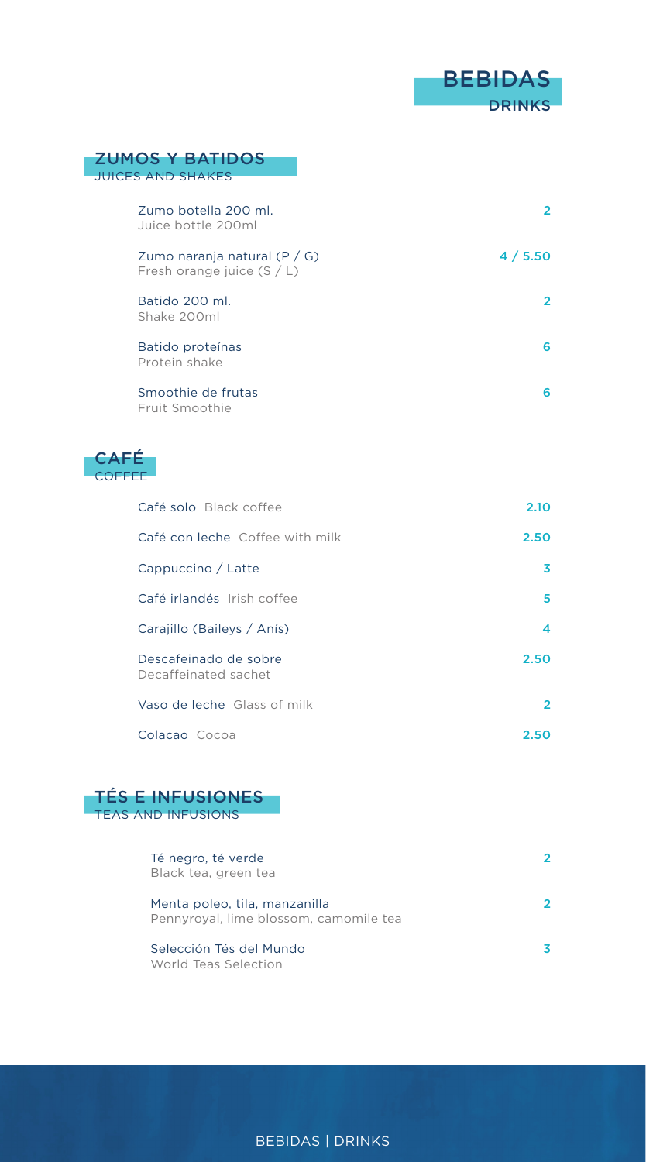

| $\overline{2}$ |
|----------------|
| 4/5.50         |
| $\overline{2}$ |
| 6              |
| 6              |
|                |
| 2.10           |
| 2.50           |
| 3              |
| 5              |
|                |

| Carajillo (Baileys / Anís)                    |      |
|-----------------------------------------------|------|
| Descafeinado de sobre<br>Decaffeinated sachet | 2.50 |

| Vaso de leche Glass of milk |      |
|-----------------------------|------|
| Colacao Cocoa               | 2.50 |



| Té negro, té verde<br>Black tea, green tea                              |  |
|-------------------------------------------------------------------------|--|
| Menta poleo, tila, manzanilla<br>Pennyroyal, lime blossom, camomile tea |  |
| Selección Tés del Mundo<br>World Teas Selection                         |  |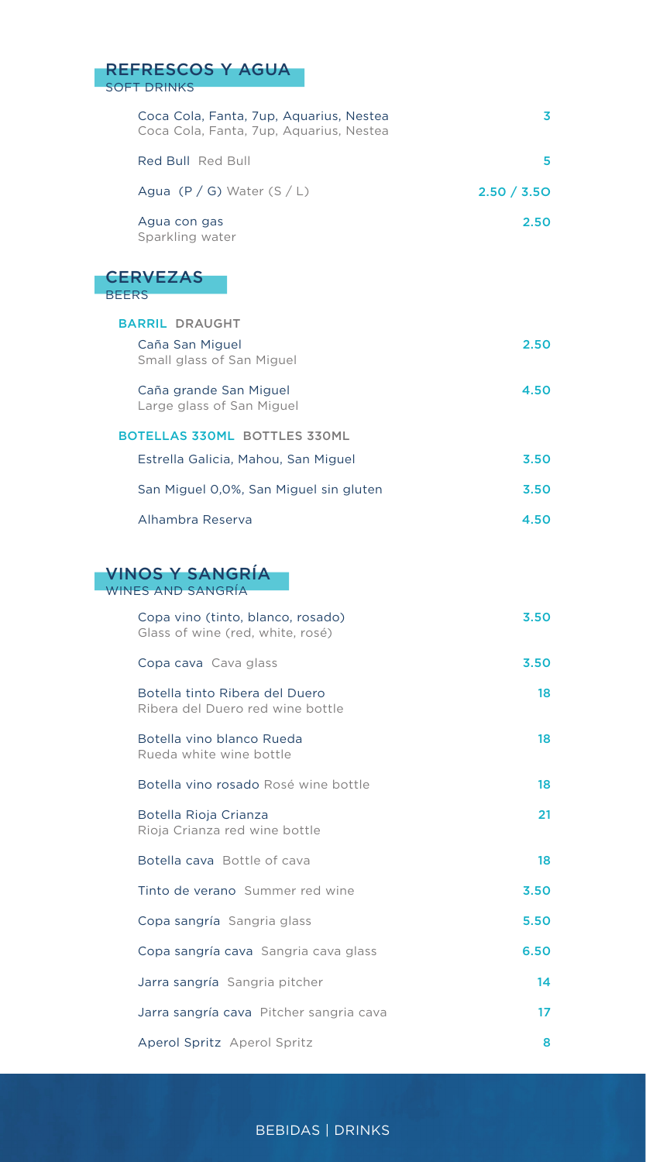| <b>REFRESCOS Y AGUA</b><br><b>SOFT DRINKS</b>                                      |             |
|------------------------------------------------------------------------------------|-------------|
| Coca Cola, Fanta, 7up, Aquarius, Nestea<br>Coca Cola, Fanta, 7up, Aquarius, Nestea | 3           |
| Red Bull Red Bull                                                                  | 5           |
| Agua $(P / G)$ Water $(S / L)$                                                     | 2.50 / 3.50 |
| Agua con gas<br>Sparkling water                                                    | 2.50        |
| <b>CERVEZAS</b><br><b>BEERS</b>                                                    |             |
| <b>BARRIL DRAUGHT</b>                                                              |             |
| Caña San Miguel<br>Small glass of San Miguel                                       | 2.50        |
| Caña grande San Miguel<br>Large glass of San Miguel                                | 4.50        |
| <b>BOTELLAS 330ML BOTTLES 330ML</b>                                                |             |
| Estrella Galicia, Mahou, San Miguel                                                | 3.50        |
| San Miguel 0,0%, San Miguel sin gluten                                             | 3.50        |
| Alhambra Reserva                                                                   | 4.50        |
| <b>VINOS Y SANGRÍA</b><br><b>WINES AND SANGRÍA</b>                                 |             |
| Copa vino (tinto, blanco, rosado)<br>Glass of wine (red, white, rosé)              | 3.50        |
| Copa cava Cava glass                                                               | 3.50        |
| Botella tinto Ribera del Duero<br>Ribera del Duero red wine bottle                 | 18          |
| Botella vino blanco Rueda<br>Rueda white wine bottle                               | 18          |
| Botella vino rosado Rosé wine bottle                                               | 18          |
| Botella Rioja Crianza<br>Rioja Crianza red wine bottle                             | 21          |
| Botella cava Bottle of cava                                                        | 18          |
| Tinto de verano Summer red wine                                                    | 3.50        |
| Copa sangría Sangria glass                                                         | 5.50        |
| Copa sangría cava Sangria cava glass                                               | 6.50        |
| Jarra sangría Sangria pitcher                                                      | 14          |
| Jarra sangría cava Pitcher sangria cava                                            | 17          |
| Aperol Spritz Aperol Spritz                                                        | 8           |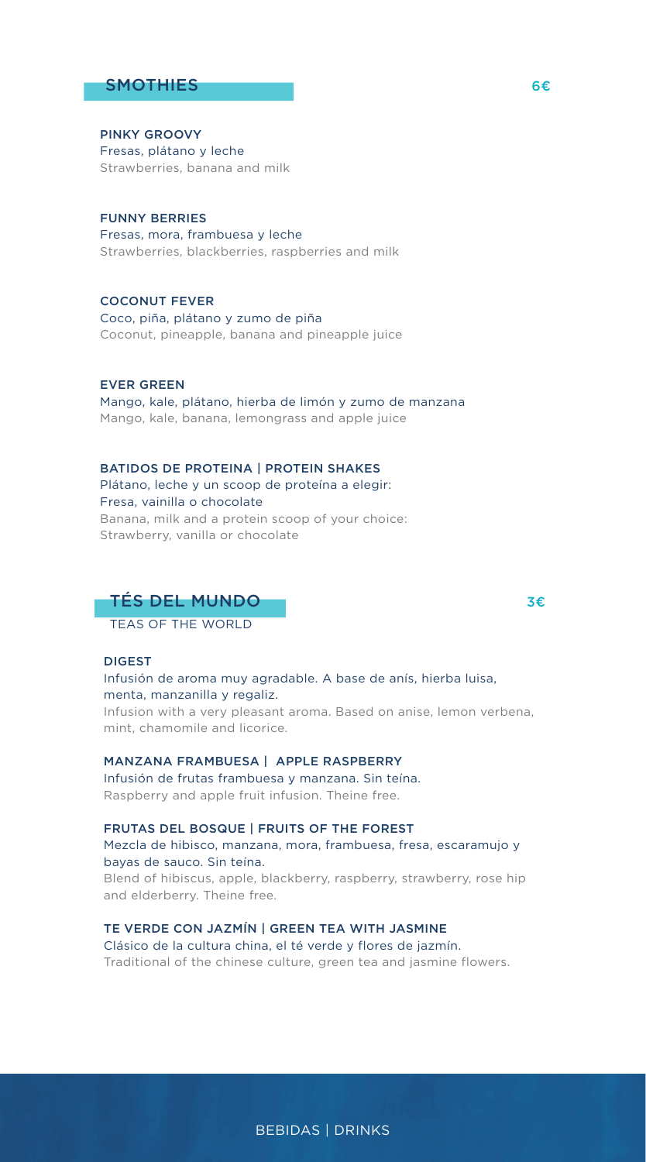## $S$ MOTHIES 6€

PINKY GROOVY Fresas, plátano y leche Strawberries, banana and milk

FUNNY BERRIES Fresas, mora, frambuesa y leche Strawberries, blackberries, raspberries and milk

COCONUT FEVER Coco, piña, plátano y zumo de piña Coconut, pineapple, banana and pineapple juice

EVER GREEN Mango, kale, plátano, hierba de limón y zumo de manzana Mango, kale, banana, lemongrass and apple juice

BATIDOS DE PROTEINA | PROTEIN SHAKES Plátano, leche y un scoop de proteína a elegir: Fresa, vainilla o chocolate Banana, milk and a protein scoop of your choice: Strawberry, vanilla or chocolate

# TÉS DEL MUNDO 3€

TEAS OF THE WORLD

#### DIGEST

Infusión de aroma muy agradable. A base de anís, hierba luisa, menta, manzanilla y regaliz.

Infusion with a very pleasant aroma. Based on anise, lemon verbena, mint, chamomile and licorice.

MANZANA FRAMBUESA | APPLE RASPBERRY Infusión de frutas frambuesa y manzana. Sin teína.

Raspberry and apple fruit infusion. Theine free.

FRUTAS DEL BOSQUE | FRUITS OF THE FOREST

Mezcla de hibisco, manzana, mora, frambuesa, fresa, escaramujo y bayas de sauco. Sin teína.

Blend of hibiscus, apple, blackberry, raspberry, strawberry, rose hip and elderberry. Theine free.

TE VERDE CON JAZMÍN | GREEN TEA WITH JASMINE Clásico de la cultura china, el té verde y flores de jazmín.

Traditional of the chinese culture, green tea and jasmine flowers.